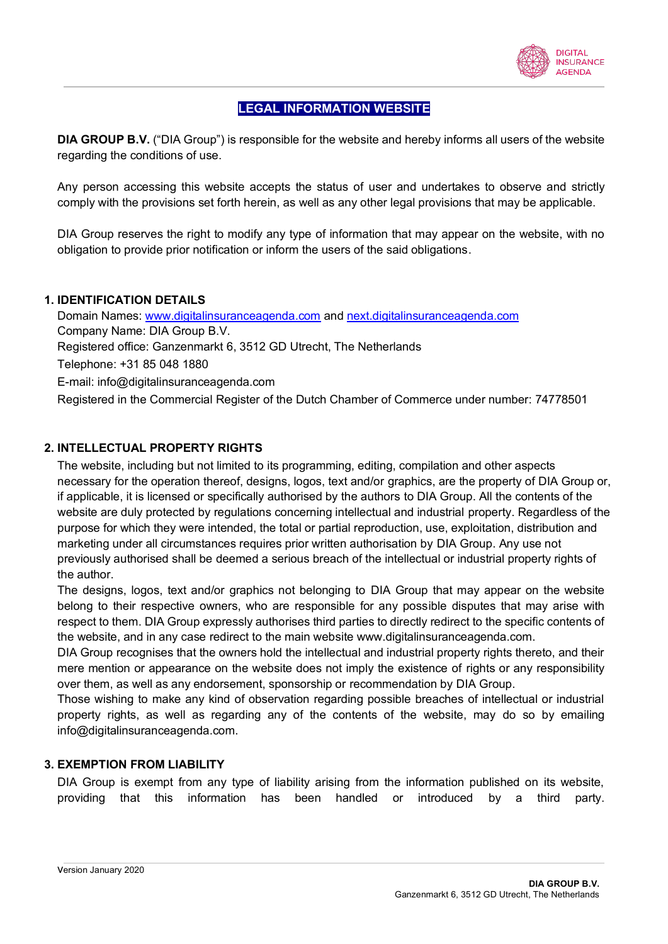

# **LEGAL INFORMATION WEBSITE**

**DIA GROUP B.V.** ("DIA Group") is responsible for the website and hereby informs all users of the website regarding the conditions of use.

Any person accessing this website accepts the status of user and undertakes to observe and strictly comply with the provisions set forth herein, as well as any other legal provisions that may be applicable.

DIA Group reserves the right to modify any type of information that may appear on the website, with no obligation to provide prior notification or inform the users of the said obligations.

# **1. IDENTIFICATION DETAILS**

Domain Names: www.digitalinsuranceagenda.com and next.digitalinsuranceagenda.com Company Name: DIA Group B.V. Registered office: Ganzenmarkt 6, 3512 GD Utrecht, The Netherlands Telephone: +31 85 048 1880 E-mail: info@digitalinsuranceagenda.com Registered in the Commercial Register of the Dutch Chamber of Commerce under number: 74778501

# **2. INTELLECTUAL PROPERTY RIGHTS**

The website, including but not limited to its programming, editing, compilation and other aspects necessary for the operation thereof, designs, logos, text and/or graphics, are the property of DIA Group or, if applicable, it is licensed or specifically authorised by the authors to DIA Group. All the contents of the website are duly protected by regulations concerning intellectual and industrial property. Regardless of the purpose for which they were intended, the total or partial reproduction, use, exploitation, distribution and marketing under all circumstances requires prior written authorisation by DIA Group. Any use not previously authorised shall be deemed a serious breach of the intellectual or industrial property rights of the author.

The designs, logos, text and/or graphics not belonging to DIA Group that may appear on the website belong to their respective owners, who are responsible for any possible disputes that may arise with respect to them. DIA Group expressly authorises third parties to directly redirect to the specific contents of the website, and in any case redirect to the main website www.digitalinsuranceagenda.com.

DIA Group recognises that the owners hold the intellectual and industrial property rights thereto, and their mere mention or appearance on the website does not imply the existence of rights or any responsibility over them, as well as any endorsement, sponsorship or recommendation by DIA Group.

Those wishing to make any kind of observation regarding possible breaches of intellectual or industrial property rights, as well as regarding any of the contents of the website, may do so by emailing info@digitalinsuranceagenda.com.

# **3. EXEMPTION FROM LIABILITY**

DIA Group is exempt from any type of liability arising from the information published on its website, providing that this information has been handled or introduced by a third party.